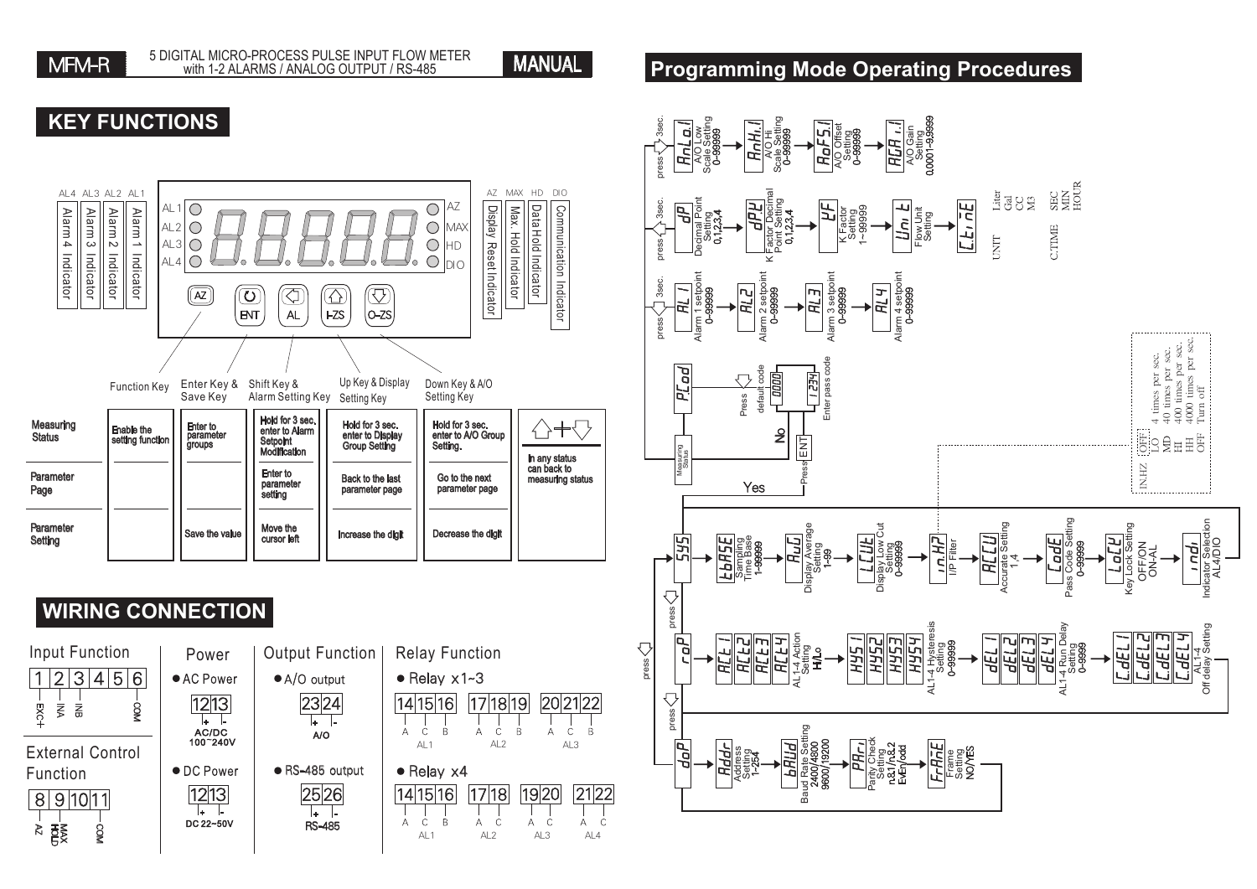

**KEY FUNCTIONS**

#### **Programming Mode Operating Procedures**

#### AZ MAX HD DIO AL4 AL3 AL2 AL1 AL1 $\overline{O}$  $\bigcirc$ AZ Communication Indicator Display Max. Data Communication Alarm 4 Alarm 3 Alarm 2 Alarm 1 AL2 $|O$  $\bigcirc$ MAX Hold Hold AL3  $\bigcirc$  $\bigcirc$ HD Reset Indicator Indicator Indicator Indicator  $\bigcirc$  $\bigcirc$ AL4 Indicator Indicator Indicator Indicator Indicator Indicator DIO Indicator  $\widehat{z}$  $\bigcirc$  $\overline{\mathbf{C}}$  $\overline{\mathbb{C}}$  $\widehat{\triangle}$  $\sqrt{2}$  $\overline{A}$  $FZS$  $|o-zs$ Function Key Enter Key & Shift Key & Up Key & Display Down Key & A/O Save Key Setting Key Alarm Setting Key Setting Key Hold for 3 sec. Enter to parameter groups Measuring<br>Status △+⇔ Hold for 3 sec. enter to Display Group Setting Hold for 3 sec. enter to A/O Group Setting. Enable the<br>setting function enter to Alarm Setpoint Modification In any status can back to Enter to Parameter Back to the last Go to the next measuring status parameter Page parameter page parameter page setting Parameter Move the Save the value Increase the digit Decrease the digit **Setting** cursor left **WIRING CONNECTION** Input Function | Power | Output Function | Relay Function  $\bullet$  AC Po



| Power<br>AC Power<br> 12 13 <br><b>AC/DC</b><br>100~240V | <b>Output Function</b><br>• A/O output<br>A/O |
|----------------------------------------------------------|-----------------------------------------------|
| <b>DC Power</b><br> 12 13 <br>DC 22~50V                  | ● RS-485 output<br>2526<br>-485               |

⋤ DC 22~



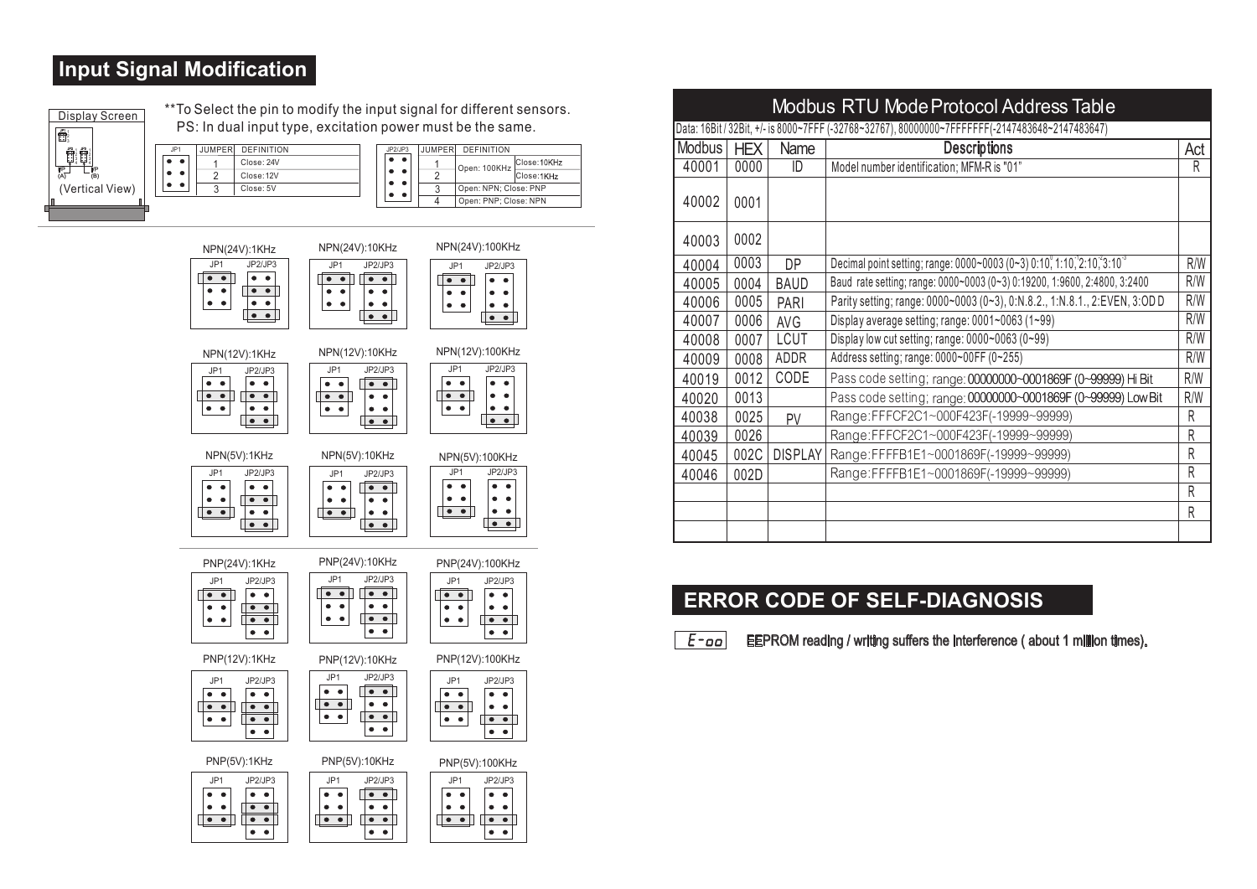## **Input Signal Modification**

 $\bullet\quad \bullet$  $\bullet$   $\bullet$ 

| Display Screen         |
|------------------------|
| ti ?                   |
|                        |
| VΡ<br>lΡ<br>(B)<br>ίAΪ |
| (Vertical View)        |
|                        |

\*\*To Select the pin to modify the input signal for different sensors. PS: In dual input type, excitation power must be the same.

| JP1 | <b>JUMPER</b> | DEFINITION | JP2/JP3                                  | <b>JUMPERI</b> | DEFINITION            |              |
|-----|---------------|------------|------------------------------------------|----------------|-----------------------|--------------|
|     |               | Close: 24V | $\bullet\hspace{1mm}\bullet\hspace{1mm}$ |                | Open: 100KHz          | Close: 10KHz |
|     |               | Close: 12V | $\bullet$                                |                |                       | Close:1KHz   |
|     |               | Close: 5V  | ٠<br>$\bullet$<br>٠                      |                | Open: NPN: Close: PNP |              |
|     |               |            |                                          |                | Open: PNP: Close: NPN |              |



| Modbus RTU Mode Protocol Address Table |                                                                                                 |                |                                                                                   |     |  |  |  |
|----------------------------------------|-------------------------------------------------------------------------------------------------|----------------|-----------------------------------------------------------------------------------|-----|--|--|--|
|                                        | Data: 16Bit / 32Bit, +/- is 8000~7FFF (-32768~32767), 80000000~7FFFFFFF(-2147483648~2147483647) |                |                                                                                   |     |  |  |  |
| <b>Modbus</b>                          | <b>HEX</b>                                                                                      | Name           | <b>Descriptions</b>                                                               | Act |  |  |  |
| 40001                                  | 0000                                                                                            | ID             | Model number identification; MFM-R is "01"                                        | R   |  |  |  |
| 40002                                  | 0001                                                                                            |                |                                                                                   |     |  |  |  |
| 40003                                  | 0002                                                                                            |                |                                                                                   |     |  |  |  |
| 40004                                  | 0003                                                                                            | <b>DP</b>      | Decimal point setting; range: 0000~0003 (0~3) 0:10, 1:10, 2:10, 3:10 <sup>3</sup> | R/W |  |  |  |
| 40005                                  | 0004                                                                                            | <b>BAUD</b>    | Baud rate setting; range: 0000~0003 (0~3) 0:19200, 1:9600, 2:4800, 3:2400         | R/W |  |  |  |
| 40006                                  | 0005                                                                                            | PARI           | Parity setting; range: 0000~0003 (0~3), 0:N.8.2., 1:N.8.1., 2:EVEN, 3:OD D        | R/W |  |  |  |
| 40007                                  | 0006                                                                                            | AVG            | Display average setting; range: 0001~0063 (1~99)                                  | R/W |  |  |  |
| 40008                                  | 0007                                                                                            | <b>LCUT</b>    | Display low cut setting; range: $0000 \sim 0063$ (0~99)                           | R/W |  |  |  |
| 40009                                  | 0008                                                                                            | ADDR           | Address setting; range: 0000~00FF (0~255)                                         | R/W |  |  |  |
| 40019                                  | 0012                                                                                            | CODE           | Pass code setting; range: 00000000~0001869F (0~99999) Hi Bit                      | R/W |  |  |  |
| 40020                                  | 0013                                                                                            |                | Pass code setting; range: 00000000~0001869F (0~99999) Low Bit                     | R/W |  |  |  |
| 40038                                  | 0025                                                                                            | PV             | Range:FFFCF2C1~000F423F(-19999~99999)                                             | R   |  |  |  |
| 40039                                  | 0026                                                                                            |                | Range:FFFCF2C1~000F423F(-19999~99999)                                             | R   |  |  |  |
| 40045                                  | 002C                                                                                            | <b>DISPLAY</b> | Range:FFFFB1E1~0001869F(-19999~99999)                                             | R   |  |  |  |
| 40046                                  | 002D                                                                                            |                | Range:FFFFB1E1~0001869F(-19999~99999)                                             | R   |  |  |  |
|                                        |                                                                                                 |                |                                                                                   | R   |  |  |  |
|                                        |                                                                                                 |                |                                                                                   | R   |  |  |  |
|                                        |                                                                                                 |                |                                                                                   |     |  |  |  |

## **ERROR CODE OF SELF-DIAGNOSIS**

 $F$ -00 EEPROM reading / writing suffers the interference ( about 1 million times).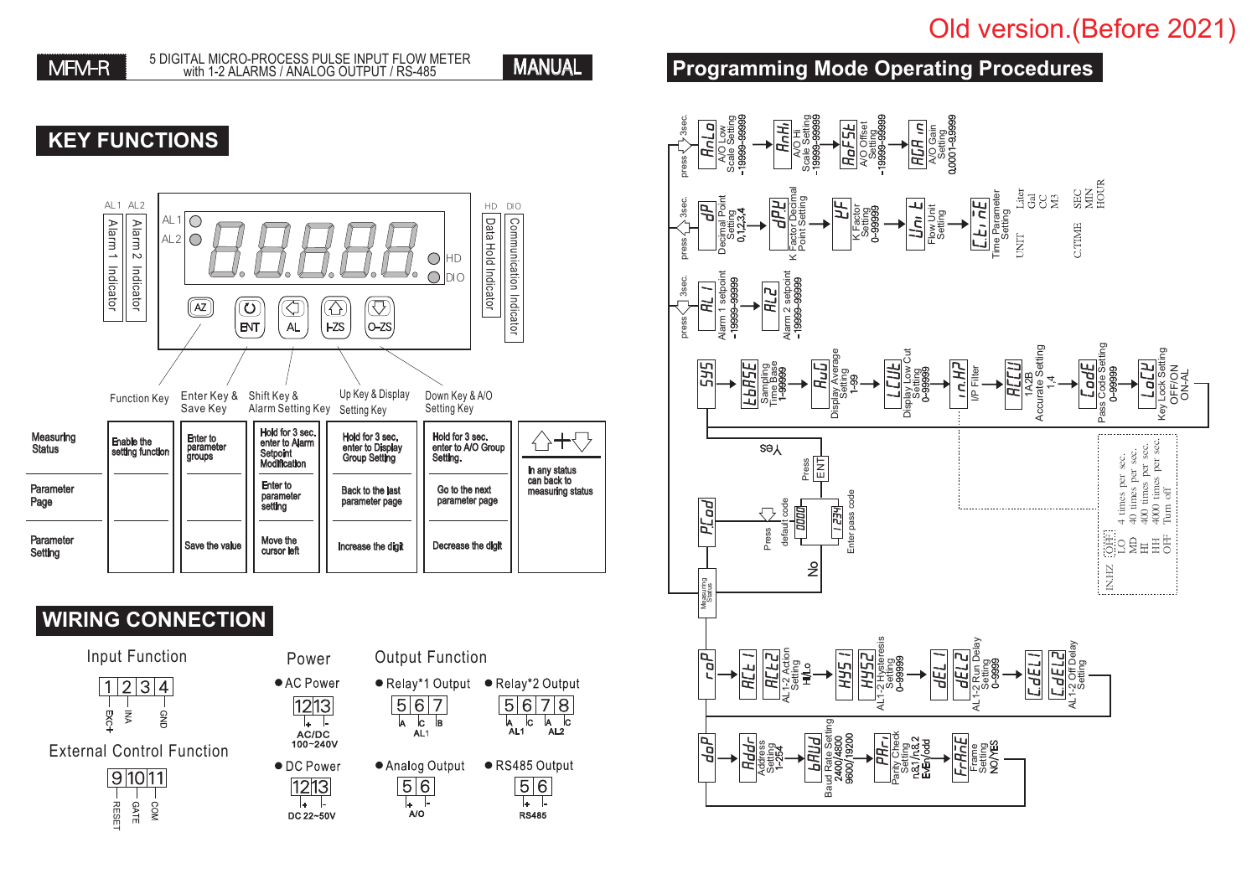# Old version.(Before 2021)

MANUAL

# **KEY FUNCTIONS**



# **WIRING CONNECTION**





| Power              |
|--------------------|
| $\bullet$ AC Power |







## **Programming Mode Operating Procedures**